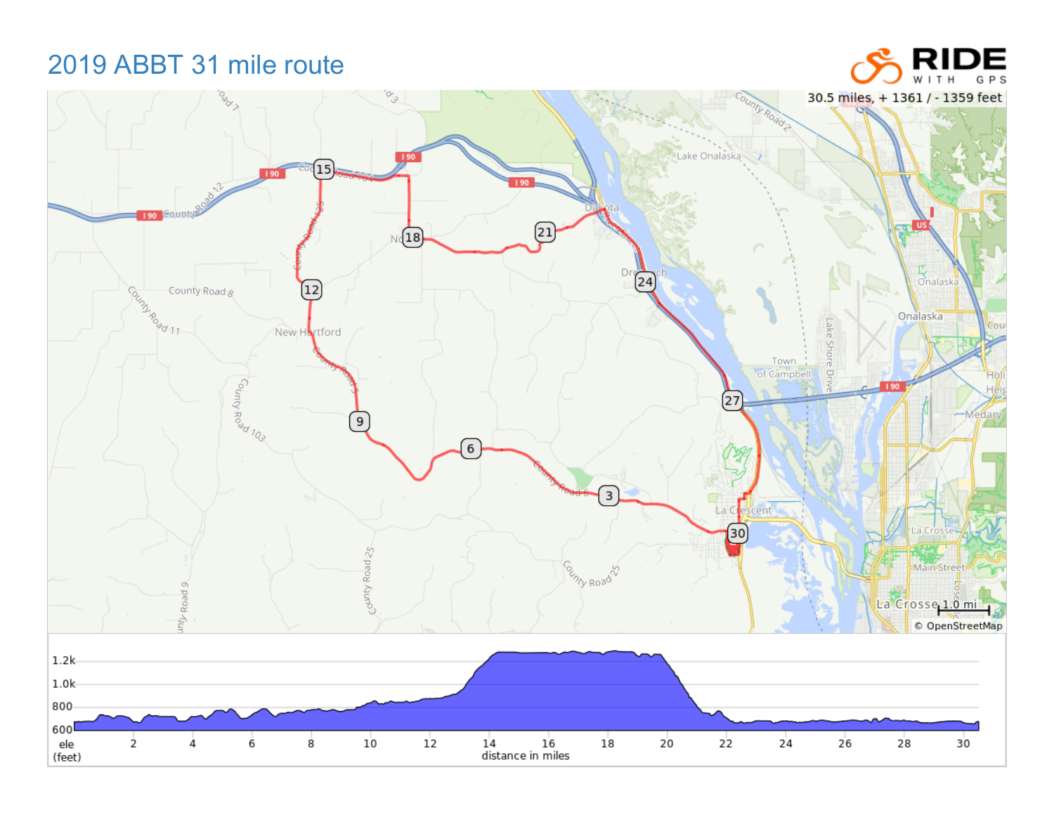## 2019 ABBT 31 mile route